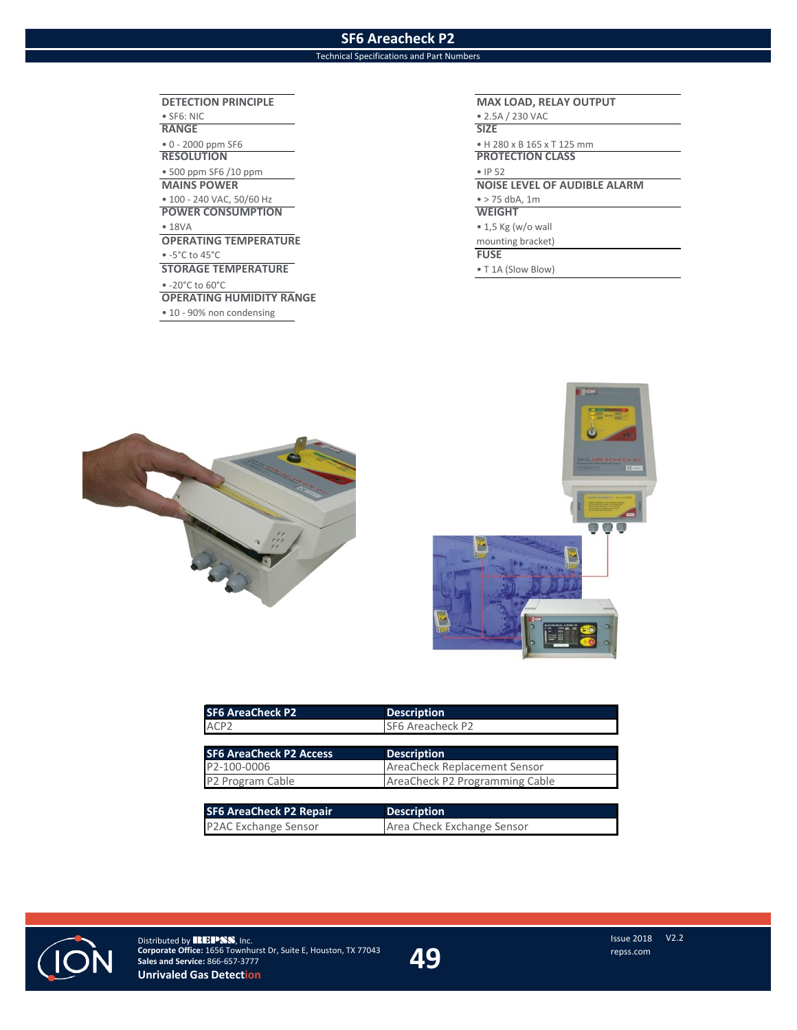## **SF6 Areacheck P2**

## Technical Specifications and Part Numbers

**DETECTION PRINCIPLE MAX LOAD, RELAY OUTPUT** • SF6: NIC • 2.5A / 230 VAC **RANGE SIZE** • 0 - 2000 ppm SF6 • H 280 x B 165 x T 125 mm • 500 ppm SF6 /10 ppm • IP 52 **MAINS POWER**<br>
• 100 - 240 VAC, 50/60 Hz<br>
• 275 dbA, 1m<br>
• 275 dbA, 1m • 100 - 240 VAC, 50/60 Hz<br> **POWER CONSUMPTION POWER CONSUMPTION** • 18VA • 18VA • 18VA • 18VA • 18VA • 18VA • 18VA • 18VA • 18VA • 18VA • 18VA • 18VA • 19VA • 19VA • 19VA • 19VA • 19VA • 19VA • 19VA • 19VA • 19VA • 19VA • 19VA • 19VA • 19VA • 19VA • 19VA • 19VA • 19VA • 19VA • 19VA • 19V **OPERATING TEMPERATURE** mounting bracket) mounting bracket) mounting bracket)  $\bullet$  -5°C to 45°C **STORAGE TEMPERATURE** • T 1A (Slow Blow) • -20°C to 60°C **OPERATING HUMIDITY RANGE** • 10 - 90% non condensing

**PROTECTION CLASS** 





| <b>SF6 AreaCheck P2</b>        | <b>Description</b>             |
|--------------------------------|--------------------------------|
| ACP <sub>2</sub>               | SF6 Areacheck P2               |
|                                |                                |
| <b>SF6 AreaCheck P2 Access</b> | <b>Description</b>             |
| P2-100-0006                    | AreaCheck Replacement Sensor   |
| P2 Program Cable               | AreaCheck P2 Programming Cable |
|                                |                                |
| <b>SF6 AreaCheck P2 Repair</b> | <b>Description</b>             |
| P2AC Exchange Sensor           | Area Check Exchange Sensor     |



\*-+\*-/ !!\$ @EDE\*2)**#**-./-v0\$ Houston, TX 77043 **Unrivaled Gas Detection**

V2.2 49 **ISSUE 2018**<br>C s erservice re ss c<br>Te ss c **Sales & Service c**s erservice re ss c re ss c